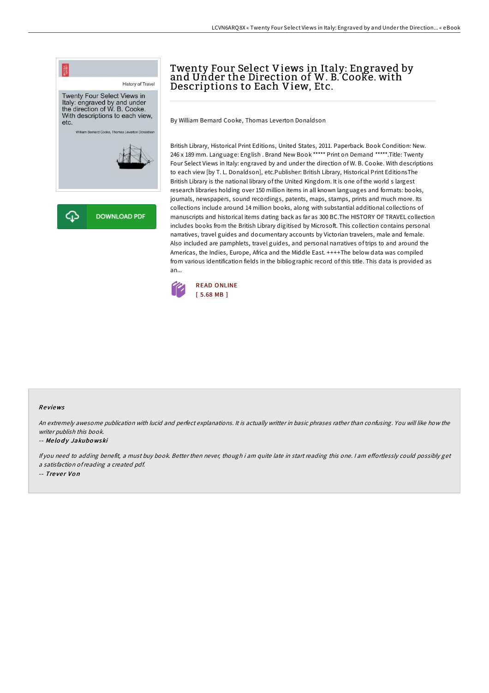

## Twenty Four Select Views in Italy: Engraved by and Under the Direction of W. B. Cooke. with Descriptions to Each View, Etc.

By William Bernard Cooke, Thomas Leverton Donaldson

British Library, Historical Print Editions, United States, 2011. Paperback. Book Condition: New. 246 x 189 mm. Language: English . Brand New Book \*\*\*\*\* Print on Demand \*\*\*\*\*.Title: Twenty Four Select Views in Italy: engraved by and under the direction of W. B. Cooke. With descriptions to each view [by T. L. Donaldson], etc.Publisher: British Library, Historical Print EditionsThe British Library is the national library of the United Kingdom. It is one of the world s largest research libraries holding over 150 million items in all known languages and formats: books, journals, newspapers, sound recordings, patents, maps, stamps, prints and much more. Its collections include around 14 million books, along with substantial additional collections of manuscripts and historical items dating back as far as 300 BC.The HISTORY OF TRAVEL collection includes books from the British Library digitised by Microsoft. This collection contains personal narratives, travel guides and documentary accounts by Victorian travelers, male and female. Also included are pamphlets, travel guides, and personal narratives of trips to and around the Americas, the Indies, Europe, Africa and the Middle East. ++++The below data was compiled from various identification fields in the bibliographic record of this title. This data is provided as an...



## Re views

An extremely awesome publication with lucid and perfect explanations. It is actually writter in basic phrases rather than confusing. You will like how the writer publish this book.

## -- Melody Jakubowski

If you need to adding benefit, a must buy book. Better then never, though i am quite late in start reading this one. I am effortlessly could possibly get <sup>a</sup> satisfaction ofreading <sup>a</sup> created pdf. -- Trever Von